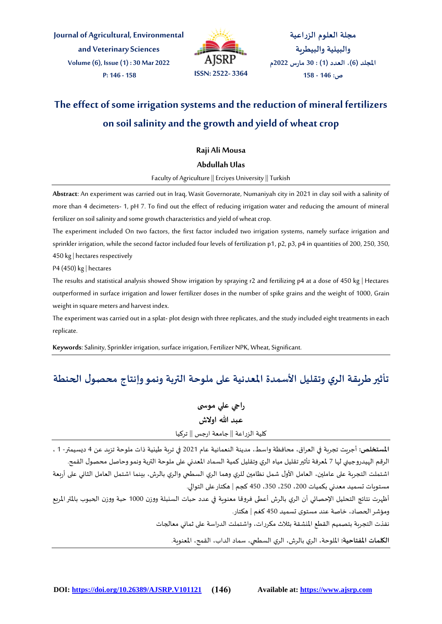**Journal of Agricultural, Environmental and Veterinary Sciences Volume (6), Issue (1) : 30 Mar 2022 P: 146 - 158 ISSN: 2522- 3364**



**مجلة العلوم الزراعية والبيئية والبيطرية املجلد )6(، العدد )1( : 30 مارس 2022م ص: 146 - 158**

# **The effect of some irrigation systems and the reduction of mineral fertilizers on soil salinity and the growth and yield of wheat crop**

# **Raji Ali Mousa**

#### **Abdullah Ulas**

Faculty of Agriculture || Erciyes University || Turkish

**Abstract**: An experiment was carried out in Iraq, Wasit Governorate, Numaniyah city in 2021 in clay soil with a salinity of more than 4 decimeters- 1, pH 7. To find out the effect of reducing irrigation water and reducing the amount of mineral fertilizer on soil salinity and some growth characteristics and yield of wheat crop.

The experiment included On two factors, the first factor included two irrigation systems, namely surface irrigation and sprinkler irrigation, while the second factor included four levels of fertilization p1, p2, p3, p4 in quantities of 200, 250, 350, 450 kg | hectares respectively

P4 (450) kg | hectares

The results and statistical analysis showed Show irrigation by spraying r2 and fertilizing p4 at a dose of 450 kg | Hectares outperformed in surface irrigation and lower fertilizer doses in the number of spike grains and the weight of 1000, Grain weight in square meters and harvest index.

The experiment was carried out in a splat- plot design with three replicates, and the study included eight treatments in each replicate.

**Keywords**: Salinity, Sprinkler irrigation, surface irrigation, Fertilizer NPK, Wheat, Significant.

# **تأثيرطريقة الري وتقليل المسدد املعدنية على ملوحة التربة وندو و إنتاج محصول الحنطة**

**راجي علي موس ى** عبد الله اولاش كلية الزراعة || جامعة ارجس || تركيا

**املستخلص:** أجريت تجربة في العراق، محافظة واسط، مدينة النعمانية عام 2021 في تربة طينية ذات ملوحة تزيد عن 4 ديسيمتر- 1 ، الرقم الهيدروجيني لها 7 ملعرفة تأثيرتقليل مياه الري وتقليل كمية السماد املعدني على ملوحة التربة ونمو وحاصل محصول القمح. اشتملت التجربة على عاملين، العامل األول شمل نظامين للري وهما الري السطحي والري بالرش، بينما اشتمل العامل الثاني على أربعة مستويات تسميد معدني بكميات ،200 ،250 ،350 450 كجم | هكتار على التوالي.

أظهرت نتائج التحليل الإحصائي أن الري بالرش أعطى فروقا معنوية في عدد حبات السنبلة ووزن 1000 حبة ووزن الحبوب بالمتر المربع ومؤشر الحصاد، خاصة عند مستوى تسميد 450 كغم | هكتار.

نفذت التجربة بتصميم القطع املنشقة بثالث مكررات، واشتملت الدراسة على ثماني معالجات

**الكلدات املفتاحية:** امللوحة، الري بالرش، الري السطحي، سماد الداب، القمح، املعنوية.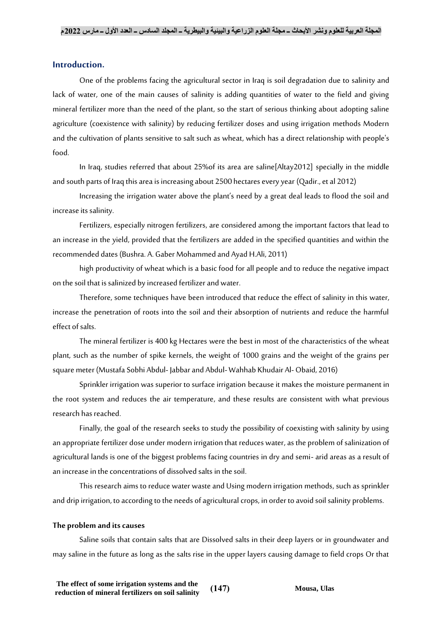#### **Introduction.**

One of the problems facing the agricultural sector in Iraq is soil degradation due to salinity and lack of water, one of the main causes of salinity is adding quantities of water to the field and giving mineral fertilizer more than the need of the plant, so the start of serious thinking about adopting saline agriculture (coexistence with salinity) by reducing fertilizer doses and using irrigation methods Modern and the cultivation of plants sensitive to salt such as wheat, which has a direct relationship with people's food.

In Iraq, studies referred that about 25%of its area are saline[Altay2012] specially in the middle and south parts of Iraq this area is increasing about 2500 hectares every year (Qadir., et al 2012)

Increasing the irrigation water above the plant's need by a great deal leads to flood the soil and increase its salinity.

Fertilizers, especially nitrogen fertilizers, are considered among the important factors that lead to an increase in the yield, provided that the fertilizers are added in the specified quantities and within the recommended dates (Bushra. A. Gaber Mohammed and Ayad H.Ali, 2011)

high productivity of wheat which is a basic food for all people and to reduce the negative impact on the soil that is salinized by increased fertilizer and water.

Therefore, some techniques have been introduced that reduce the effect of salinity in this water, increase the penetration of roots into the soil and their absorption of nutrients and reduce the harmful effect of salts.

The mineral fertilizer is 400 kg Hectares were the best in most of the characteristics of the wheat plant, such as the number of spike kernels, the weight of 1000 grains and the weight of the grains per square meter (Mustafa Sobhi Abdul- Jabbar and Abdul-Wahhab Khudair Al- Obaid, 2016)

Sprinkler irrigation was superior to surface irrigation because it makes the moisture permanent in the root system and reduces the air temperature, and these results are consistent with what previous research has reached.

Finally, the goal of the research seeks to study the possibility of coexisting with salinity by using an appropriate fertilizer dose under modern irrigation that reduces water, as the problem of salinization of agricultural lands is one of the biggest problems facing countries in dry and semi- arid areas as a result of an increase in the concentrations of dissolved salts in the soil.

This research aims to reduce water waste and Using modern irrigation methods, such as sprinkler and drip irrigation, to according to the needs of agricultural crops, in order to avoid soil salinity problems.

#### **The problem and its causes**

Saline soils that contain salts that are Dissolved salts in their deep layers or in groundwater and may saline in the future as long as the salts rise in the upper layers causing damage to field crops Or that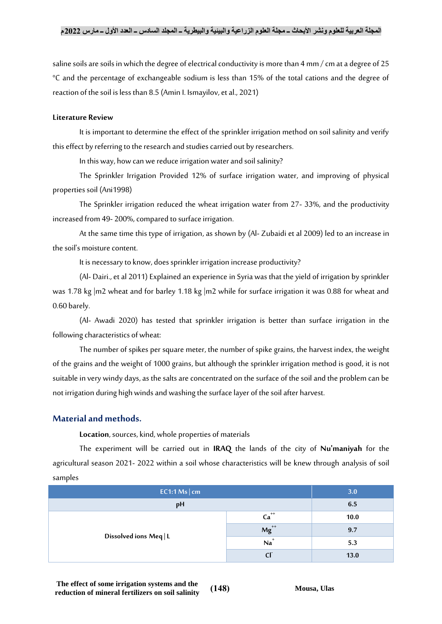#### **المجلة العربية للعلوم ونشر األبحاث ــ مجلة العلوم الزراعية والبيئية والبيطرية ــ المجلد السادس ــ العدد األول ــ مارس 2022م**

saline soils are soils in which the degree of electrical conductivity is more than 4 mm / cm at a degree of 25 °C and the percentage of exchangeable sodium is less than 15% of the total cations and the degree of reaction of the soil is less than 8.5 (Amin I. Ismayilov, et al., 2021)

#### **Literature Review**

It is important to determine the effect of the sprinkler irrigation method on soil salinity and verify this effect by referring to the research and studies carried out by researchers.

In this way, how can we reduce irrigation water and soil salinity?

The Sprinkler Irrigation Provided 12% of surface irrigation water, and improving of physical properties soil (Ani1998)

The Sprinkler irrigation reduced the wheat irrigation water from 27- 33%, and the productivity increased from 49- 200%, compared to surface irrigation.

At the same time this type of irrigation, as shown by (Al- Zubaidi et al 2009) led to an increase in the soil's moisture content.

It is necessary to know, does sprinkler irrigation increase productivity?

(Al- Dairi., et al 2011) Explained an experience in Syria was that the yield of irrigation by sprinkler was 1.78 kg |m2 wheat and for barley 1.18 kg |m2 while for surface irrigation it was 0.88 for wheat and 0.60 barely.

(Al- Awadi 2020) has tested that sprinkler irrigation is better than surface irrigation in the following characteristics of wheat:

The number of spikes per square meter, the number of spike grains, the harvest index, the weight of the grains and the weight of 1000 grains, but although the sprinkler irrigation method is good, it is not suitable in very windy days, as the salts are concentrated on the surface of the soil and the problem can be not irrigation during high winds and washing the surface layer of the soil after harvest.

#### **Material andmethods.**

**Location**, sources, kind, whole properties of materials

The experiment will be carried out in **IRAQ** the lands of the city of **Nu'maniyah** for the agricultural season 2021- 2022 within a soil whose characteristics will be knew through analysis of soil samples

| EC1:1 Ms $\vert$ cm    | 3.0       |      |
|------------------------|-----------|------|
| pH                     | 6.5       |      |
| Dissolved ions Meq   L | $Ca++$    | 10.0 |
|                        | $Mg^{++}$ | 9.7  |
|                        | $Na+$     | 5.3  |
|                        |           | 13.0 |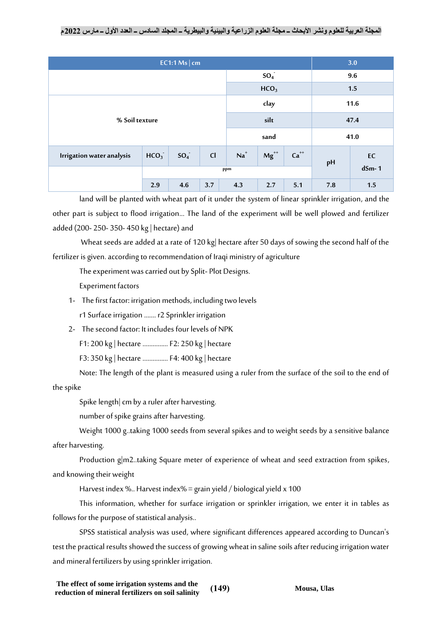|                           | EC1:1 Ms $\vert$ cm |                  |      |       |                 |        |     |         |  |
|---------------------------|---------------------|------------------|------|-------|-----------------|--------|-----|---------|--|
|                           |                     |                  |      |       | SO <sub>4</sub> |        |     | 9.6     |  |
|                           |                     | HCO <sub>3</sub> |      |       | 1.5             |        |     |         |  |
|                           |                     |                  |      |       | clay            |        |     | 11.6    |  |
| % Soil texture            |                     |                  |      |       | silt            |        |     | 47.4    |  |
|                           |                     |                  |      |       | sand            |        |     | 41.0    |  |
| Irrigation water analysis | HCO <sub>3</sub>    | SO <sub>4</sub>  | $CI$ | $Na+$ | $Mg^{++}$       | $Ca++$ | pH  | EC      |  |
|                           |                     |                  |      | ppm   |                 |        |     | $dSm-1$ |  |
|                           | 2.9                 | 4.6              | 3.7  | 4.3   | 2.7             | 5.1    | 7.8 | 1.5     |  |

land will be planted with wheat part of it under the system of linear sprinkler irrigation, and the other part is subject to flood irrigation... The land of the experiment will be well plowed and fertilizer added (200- 250- 350- 450 kg | hectare) and

Wheat seeds are added at a rate of 120 kg| hectare after 50 days of sowing the second half of the fertilizer is given. according to recommendation of Iraqi ministry of agriculture

The experiment was carried out by Split- Plot Designs.

Experiment factors

1- The first factor: irrigation methods, including two levels

r1 Surface irrigation ……. r2 Sprinkler irrigation

2- The second factor: It includes four levels of NPK

F1: 200 kg | hectare …………… F2: 250 kg | hectare

F3: 350 kg | hectare …………… F4: 400 kg | hectare

Note: The length of the plant is measured using a ruler from the surface of the soil to the end of

the spike

Spike length| cm by a ruler after harvesting.

number of spike grains after harvesting.

Weight 1000 g..taking 1000 seeds from several spikes and to weight seeds by a sensitive balance after harvesting.

Production g|m2..taking Square meter of experience of wheat and seed extraction from spikes, and knowing their weight

Harvest index %.. Harvest index% = grain yield / biological yield x 100

This information, whether for surface irrigation or sprinkler irrigation, we enter it in tables as follows for the purpose of statistical analysis..

SPSS statistical analysis was used, where significant differences appeared according to Duncan's test the practical results showed the success of growing wheat in saline soils after reducing irrigation water and mineral fertilizers by using sprinkler irrigation.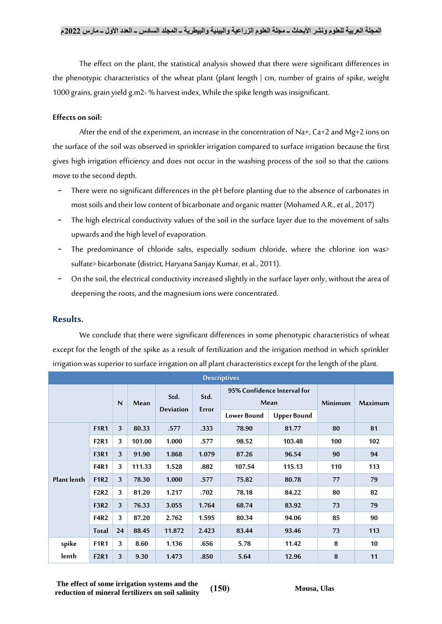The effect on the plant, the statistical analysis showed that there were significant differences in the phenotypic characteristics of the wheat plant (plant length | cm, number of grains of spike, weight 1000 grains, grain yield g.m2- % harvest index, While the spike length was insignificant.

## **Effects on soil:**

After the end of the experiment, an increase in the concentration of Na+, Ca+2 and Mg+2 ions on the surface of the soil was observed in sprinkler irrigation compared to surface irrigation because the first gives high irrigation efficiency and does not occur in the washing process of the soil so that the cations move to the second depth.

- There were no significant differences in the pH before planting due to the absence of carbonates in most soils and their low content of bicarbonate and organic matter (Mohamed A.R., et al., 2017)
- The high electrical conductivity values of the soil in the surface layer due to the movement of salts upwards and the high level of evaporation.
- The predominance of chloride salts, especially sodium chloride, where the chlorine ion was sulfate> bicarbonate (district, Haryana Sanjay Kumar, et al., 2011).
- On the soil, the electrical conductivity increased slightly in the surface layer only, without the area of deepening the roots, and the magnesium ions were concentrated.

# **Results.**

We conclude that there were significant differences in some phenotypic characteristics of wheat except for the length of the spike as a result of fertilization and the irrigation method in which sprinkler irrigation was superior to surface irrigation on all plant characteristics except for the length of the plant.

| <b>Descriptives</b> |              |              |        |                          |               |             |                                     |                |                |  |
|---------------------|--------------|--------------|--------|--------------------------|---------------|-------------|-------------------------------------|----------------|----------------|--|
|                     |              | $\mathsf{N}$ | Mean   | Std.<br><b>Deviation</b> | Std.<br>Error |             | 95% Confidence Interval for<br>Mean | <b>Minimum</b> | <b>Maximum</b> |  |
|                     |              |              |        |                          |               | Lower Bound | <b>Upper Bound</b>                  |                |                |  |
|                     | <b>F1R1</b>  | 3            | 80.33  | .577                     | .333          | 78.90       | 81.77                               | 80             | 81             |  |
|                     | <b>F2R1</b>  | 3            | 101.00 | 1.000                    | .577          | 98.52       | 103.48                              | 100            | 102            |  |
|                     | <b>F3R1</b>  | 3            | 91.90  | 1.868                    | 1.079         | 87.26       | 96.54                               | 90             | 94             |  |
|                     | <b>F4R1</b>  | 3            | 111.33 | 1.528                    | .882          | 107.54      | 115.13                              | 110            | 113            |  |
| <b>Plant lenth</b>  | <b>F1R2</b>  | 3            | 78.30  | 1.000                    | .577          | 75.82       | 80.78                               | 77             | 79             |  |
|                     | <b>F2R2</b>  | 3            | 81.20  | 1.217                    | .702          | 78.18       | 84.22                               | 80             | 82             |  |
|                     | <b>F3R2</b>  | 3            | 76.33  | 3.055                    | 1.764         | 68.74       | 83.92                               | 73             | 79             |  |
|                     | <b>F4R2</b>  | 3            | 87.20  | 2.762                    | 1.595         | 80.34       | 94.06                               | 85             | 90             |  |
|                     | <b>Total</b> | 24           | 88.45  | 11.872                   | 2.423         | 83.44       | 93.46                               | 73             | 113            |  |
| spike               | <b>F1R1</b>  | 3            | 8.60   | 1.136                    | .656          | 5.78        | 11.42                               | 8              | 10             |  |
| lenth               | <b>F2R1</b>  | 3            | 9.30   | 1.473                    | .850          | 5.64        | 12.96                               | 8              | 11             |  |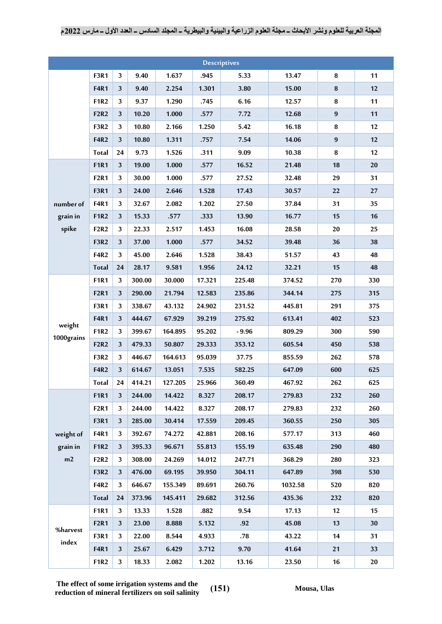|                   |              |    |        |         |        | <b>Descriptives</b> |         |                  |        |
|-------------------|--------------|----|--------|---------|--------|---------------------|---------|------------------|--------|
|                   | <b>F3R1</b>  | 3  | 9.40   | 1.637   | .945   | 5.33                | 13.47   | 8                | 11     |
|                   | <b>F4R1</b>  | 3  | 9.40   | 2.254   | 1.301  | 3.80                | 15.00   | ${\bf 8}$        | 12     |
|                   | <b>F1R2</b>  | 3  | 9.37   | 1.290   | .745   | 6.16                | 12.57   | ${\bf 8}$        | 11     |
|                   | <b>F2R2</b>  | 3  | 10.20  | 1.000   | .577   | 7.72                | 12.68   | $\boldsymbol{9}$ | 11     |
|                   | <b>F3R2</b>  | 3  | 10.80  | 2.166   | 1.250  | 5.42                | 16.18   | ${\bf 8}$        | 12     |
|                   | <b>F4R2</b>  | 3  | 10.80  | 1.311   | .757   | 7.54                | 14.06   | $\boldsymbol{9}$ | 12     |
|                   | <b>Total</b> | 24 | 9.73   | 1.526   | .311   | 9.09                | 10.38   | ${\bf 8}$        | 12     |
|                   | <b>F1R1</b>  | 3  | 19.00  | 1.000   | .577   | 16.52               | 21.48   | 18               | 20     |
|                   | <b>F2R1</b>  | 3  | 30.00  | 1.000   | .577   | 27.52               | 32.48   | 29               | 31     |
|                   | <b>F3R1</b>  | 3  | 24.00  | 2.646   | 1.528  | 17.43               | 30.57   | 22               | 27     |
| number of         | <b>F4R1</b>  | 3  | 32.67  | 2.082   | 1.202  | 27.50               | 37.84   | 31               | 35     |
| grain in          | <b>F1R2</b>  | 3  | 15.33  | .577    | .333   | 13.90               | 16.77   | 15               | 16     |
| spike             | <b>F2R2</b>  | 3  | 22.33  | 2.517   | 1.453  | 16.08               | 28.58   | 20               | 25     |
|                   | <b>F3R2</b>  | 3  | 37.00  | 1.000   | .577   | 34.52               | 39.48   | 36               | 38     |
|                   | <b>F4R2</b>  | 3  | 45.00  | 2.646   | 1.528  | 38.43               | 51.57   | 43               | 48     |
|                   | <b>Total</b> | 24 | 28.17  | 9.581   | 1.956  | 24.12               | 32.21   | 15               | 48     |
|                   | <b>F1R1</b>  | 3  | 300.00 | 30.000  | 17.321 | 225.48              | 374.52  | 270              | 330    |
|                   | <b>F2R1</b>  | 3  | 290.00 | 21.794  | 12.583 | 235.86              | 344.14  | 275              | 315    |
|                   | <b>F3R1</b>  | 3  | 338.67 | 43.132  | 24.902 | 231.52              | 445.81  | 291              | 375    |
|                   | <b>F4R1</b>  | 3  | 444.67 | 67.929  | 39.219 | 275.92              | 613.41  | 402              | 523    |
| weight            | <b>F1R2</b>  | 3  | 399.67 | 164.895 | 95.202 | $-9.96$             | 809.29  | 300              | 590    |
| 1000grains        | <b>F2R2</b>  | 3  | 479.33 | 50.807  | 29.333 | 353.12              | 605.54  | 450              | 538    |
|                   | <b>F3R2</b>  | 3  | 446.67 | 164.613 | 95.039 | 37.75               | 855.59  | 262              | 578    |
|                   | <b>F4R2</b>  | 3  | 614.67 | 13.051  | 7.535  | 582.25              | 647.09  | 600              | 625    |
|                   | <b>Total</b> | 24 | 414.21 | 127.205 | 25.966 | 360.49              | 467.92  | 262              | 625    |
|                   | <b>F1R1</b>  | 3  | 244.00 | 14.422  | 8.327  | 208.17              | 279.83  | 232              | 260    |
|                   | <b>F2R1</b>  | 3  | 244.00 | 14.422  | 8.327  | 208.17              | 279.83  | 232              | 260    |
|                   | <b>F3R1</b>  | 3  | 285.00 | 30.414  | 17.559 | 209.45              | 360.55  | 250              | 305    |
| weight of         | <b>F4R1</b>  | 3  | 392.67 | 74.272  | 42.881 | 208.16              | 577.17  | 313              | 460    |
| grain in          | <b>F1R2</b>  | 3  | 395.33 | 96.671  | 55.813 | 155.19              | 635.48  | 290              | 480    |
| m2                | <b>F2R2</b>  | 3  | 308.00 | 24.269  | 14.012 | 247.71              | 368.29  | 280              | 323    |
|                   | <b>F3R2</b>  | 3  | 476.00 | 69.195  | 39.950 | 304.11              | 647.89  | 398              | 530    |
|                   | <b>F4R2</b>  | 3  | 646.67 | 155.349 | 89.691 | 260.76              | 1032.58 | 520              | 820    |
|                   | <b>Total</b> | 24 | 373.96 | 145.411 | 29.682 | 312.56              | 435.36  | 232              | 820    |
|                   | <b>F1R1</b>  | 3  | 13.33  | 1.528   | .882   | 9.54                | 17.13   | 12               | 15     |
|                   | <b>F2R1</b>  | 3  | 23.00  | 8.888   | 5.132  | .92                 | 45.08   | 13               | 30     |
| %harvest<br>index | <b>F3R1</b>  | 3  | 22.00  | 8.544   | 4.933  | .78                 | 43.22   | 14               | 31     |
|                   | <b>F4R1</b>  | 3  | 25.67  | 6.429   | 3.712  | 9.70                | 41.64   | 21               | 33     |
|                   | <b>F1R2</b>  | 3  | 18.33  | 2.082   | 1.202  | 13.16               | 23.50   | 16               | $20\,$ |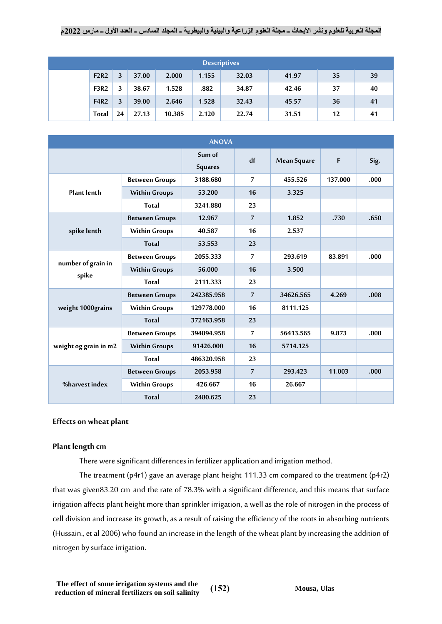| <b>Descriptives</b> |    |       |        |       |       |       |    |    |
|---------------------|----|-------|--------|-------|-------|-------|----|----|
| <b>F2R2</b>         | 3  | 37.00 | 2.000  | 1.155 | 32.03 | 41.97 | 35 | 39 |
| <b>F3R2</b>         |    | 38.67 | 1.528  | .882  | 34.87 | 42.46 | 37 | 40 |
| <b>F4R2</b>         |    | 39.00 | 2.646  | 1.528 | 32.43 | 45.57 | 36 | 41 |
| Total               | 24 | 27.13 | 10.385 | 2.120 | 22.74 | 31.51 | 12 | 41 |

| <b>ANOVA</b>          |                       |                          |                |                    |         |      |  |  |  |
|-----------------------|-----------------------|--------------------------|----------------|--------------------|---------|------|--|--|--|
|                       |                       | Sum of<br><b>Squares</b> | df             | <b>Mean Square</b> | F       | Sig. |  |  |  |
|                       | <b>Between Groups</b> | 3188.680                 | $\overline{7}$ | 455.526            | 137.000 | .000 |  |  |  |
| <b>Plant lenth</b>    | <b>Within Groups</b>  | 53.200                   | 16             | 3.325              |         |      |  |  |  |
|                       | Total                 | 3241.880                 | 23             |                    |         |      |  |  |  |
| spike lenth           | <b>Between Groups</b> | 12.967                   | 7              | 1.852              | .730    | .650 |  |  |  |
|                       | <b>Within Groups</b>  | 40.587                   | 16             | 2.537              |         |      |  |  |  |
|                       | <b>Total</b>          | 53.553                   | 23             |                    |         |      |  |  |  |
| number of grain in    | <b>Between Groups</b> | 2055.333                 | $\overline{7}$ | 293.619            | 83.891  | .000 |  |  |  |
|                       | <b>Within Groups</b>  | 56.000                   | 16             | 3.500              |         |      |  |  |  |
| spike                 | Total                 | 2111.333                 | 23             |                    |         |      |  |  |  |
|                       | <b>Between Groups</b> | 242385.958               | $\overline{7}$ | 34626.565          | 4.269   | .008 |  |  |  |
| weight 1000grains     | <b>Within Groups</b>  | 129778.000               | 16             | 8111.125           |         |      |  |  |  |
|                       | Total                 | 372163.958               | 23             |                    |         |      |  |  |  |
|                       | <b>Between Groups</b> | 394894.958               | 7              | 56413.565          | 9.873   | .000 |  |  |  |
| weight og grain in m2 | <b>Within Groups</b>  | 91426.000                | 16             | 5714.125           |         |      |  |  |  |
|                       | Total                 | 486320.958               | 23             |                    |         |      |  |  |  |
|                       | <b>Between Groups</b> | 2053.958                 | $\overline{7}$ | 293.423            | 11.003  | .000 |  |  |  |
| %harvest index        | <b>Within Groups</b>  | 426.667                  | 16             | 26.667             |         |      |  |  |  |
|                       | <b>Total</b>          | 2480.625                 | 23             |                    |         |      |  |  |  |

# **Effects on wheat plant**

#### **Plant length cm**

There were significant differences in fertilizer application and irrigation method.

The treatment (p4r1) gave an average plant height 111.33 cm compared to the treatment (p4r2) that was given83.20 cm and the rate of 78.3% with a significant difference, and this means that surface irrigation affects plant height more than sprinkler irrigation, a well as the role of nitrogen in the process of cell division and increase its growth, as a result of raising the efficiency of the roots in absorbing nutrients (Hussain., et al 2006) who found an increase in the length of the wheat plant by increasing the addition of nitrogen by surface irrigation.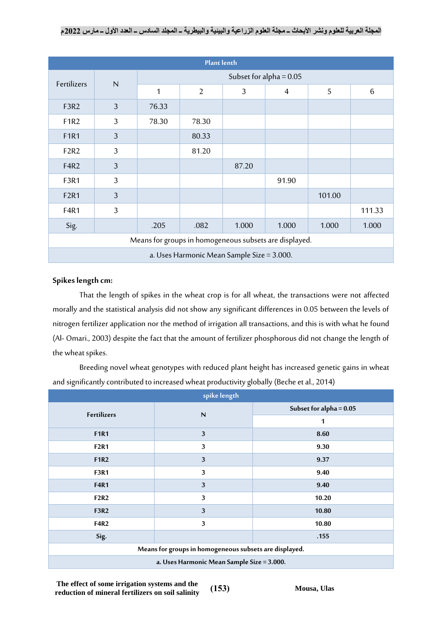|                               | <b>Plant lenth</b>                                     |                           |                                            |                |                |        |                 |  |  |  |
|-------------------------------|--------------------------------------------------------|---------------------------|--------------------------------------------|----------------|----------------|--------|-----------------|--|--|--|
| Fertilizers                   | $\mathsf{N}$                                           | Subset for alpha $= 0.05$ |                                            |                |                |        |                 |  |  |  |
|                               |                                                        | 1                         | 2                                          | $\overline{3}$ | $\overline{4}$ | 5      | $6\phantom{1}6$ |  |  |  |
| F3R2                          | $\overline{3}$                                         | 76.33                     |                                            |                |                |        |                 |  |  |  |
| <b>F1R2</b>                   | 3                                                      | 78.30                     | 78.30                                      |                |                |        |                 |  |  |  |
| <b>F1R1</b>                   | $\overline{3}$                                         |                           | 80.33                                      |                |                |        |                 |  |  |  |
| F <sub>2</sub> R <sub>2</sub> | 3                                                      |                           | 81.20                                      |                |                |        |                 |  |  |  |
| F4R <sub>2</sub>              | $\overline{3}$                                         |                           |                                            | 87.20          |                |        |                 |  |  |  |
| F3R1                          | 3                                                      |                           |                                            |                | 91.90          |        |                 |  |  |  |
| F <sub>2R1</sub>              | 3                                                      |                           |                                            |                |                | 101.00 |                 |  |  |  |
| <b>F4R1</b>                   | $\overline{3}$                                         |                           |                                            |                |                |        | 111.33          |  |  |  |
| Sig.                          |                                                        | .205                      | .082                                       | 1.000          | 1.000          | 1.000  | 1.000           |  |  |  |
|                               | Means for groups in homogeneous subsets are displayed. |                           |                                            |                |                |        |                 |  |  |  |
|                               |                                                        |                           | a. Uses Harmonic Mean Sample Size = 3.000. |                |                |        |                 |  |  |  |

# **Spikeslength cm:**

That the length of spikes in the wheat crop is for all wheat, the transactions were not affected morally and the statistical analysis did not show any significant differences in 0.05 between the levels of nitrogen fertilizer application nor the method of irrigation all transactions, and this is with what he found (Al- Omari., 2003) despite the fact that the amount of fertilizer phosphorous did not change the length of the wheat spikes.

Breeding novel wheat genotypes with reduced plant height has increased genetic gains in wheat and significantly contributed to increased wheat productivity globally(Beche et al., 2014)

| spike length       |                                                        |                           |  |  |  |  |  |
|--------------------|--------------------------------------------------------|---------------------------|--|--|--|--|--|
| <b>Fertilizers</b> | $\mathsf{N}$                                           | Subset for alpha $= 0.05$ |  |  |  |  |  |
|                    |                                                        | 1                         |  |  |  |  |  |
| <b>F1R1</b>        | $\overline{\mathbf{3}}$                                | 8.60                      |  |  |  |  |  |
| <b>F2R1</b>        | 3                                                      | 9.30                      |  |  |  |  |  |
| <b>F1R2</b>        | 3                                                      | 9.37                      |  |  |  |  |  |
| <b>F3R1</b>        | 3                                                      | 9.40                      |  |  |  |  |  |
| <b>F4R1</b>        | 3                                                      | 9.40                      |  |  |  |  |  |
| <b>F2R2</b>        | 3                                                      | 10.20                     |  |  |  |  |  |
| <b>F3R2</b>        | 3                                                      | 10.80                     |  |  |  |  |  |
| <b>F4R2</b>        | 3                                                      | 10.80                     |  |  |  |  |  |
| Sig.               |                                                        | .155                      |  |  |  |  |  |
|                    | Means for groups in homogeneous subsets are displayed. |                           |  |  |  |  |  |
|                    | a. Uses Harmonic Mean Sample Size = 3.000.             |                           |  |  |  |  |  |

**The effect of some irrigation systems and the riferrightance reduction of mineral fertilizers on soil salinity (153)** Mousa, Ulas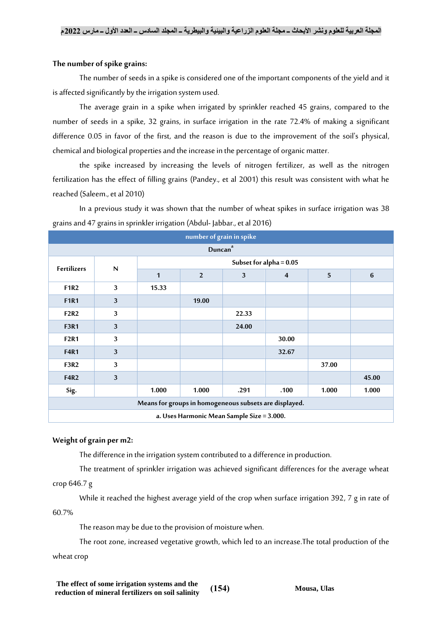#### **The number of spike grains:**

The number of seeds in a spike is considered one of the important components of the yield and it is affected significantly by the irrigation system used.

The average grain in a spike when irrigated by sprinkler reached 45 grains, compared to the number of seeds in a spike, 32 grains, in surface irrigation in the rate 72.4% of making a significant difference 0.05 in favor of the first, and the reason is due to the improvement of the soil's physical, chemical and biological properties and the increase in the percentage of organic matter.

the spike increased by increasing the levels of nitrogen fertilizer, as well as the nitrogen fertilization has the effect of filling grains (Pandey., et al 2001) this result was consistent with what he reached (Saleem., et al 2010)

In a previous study it was shown that the number of wheat spikes in surface irrigation was 38 grains and 47 grains in sprinkler irrigation (Abdul- Jabbar., et al 2016)

|                     | number of grain in spike |                                                        |                                            |                         |                           |       |       |  |  |
|---------------------|--------------------------|--------------------------------------------------------|--------------------------------------------|-------------------------|---------------------------|-------|-------|--|--|
| Duncan <sup>a</sup> |                          |                                                        |                                            |                         |                           |       |       |  |  |
| Fertilizers         | $\mathsf{N}$             |                                                        |                                            |                         | Subset for alpha $= 0.05$ |       |       |  |  |
|                     |                          | $\mathbf{1}$                                           | $\overline{2}$                             | $\overline{\mathbf{3}}$ | $\overline{4}$            | 5     | 6     |  |  |
| <b>F1R2</b>         | 3                        | 15.33                                                  |                                            |                         |                           |       |       |  |  |
| <b>F1R1</b>         | 3                        |                                                        | 19.00                                      |                         |                           |       |       |  |  |
| <b>F2R2</b>         | 3                        |                                                        |                                            | 22.33                   |                           |       |       |  |  |
| <b>F3R1</b>         | 3                        |                                                        |                                            | 24.00                   |                           |       |       |  |  |
| <b>F2R1</b>         | 3                        |                                                        |                                            |                         | 30.00                     |       |       |  |  |
| <b>F4R1</b>         | $\overline{\mathbf{3}}$  |                                                        |                                            |                         | 32.67                     |       |       |  |  |
| <b>F3R2</b>         | $\overline{\mathbf{3}}$  |                                                        |                                            |                         |                           | 37.00 |       |  |  |
| <b>F4R2</b>         | 3                        |                                                        |                                            |                         |                           |       | 45.00 |  |  |
| Sig.                |                          | 1.000                                                  | 1.000                                      | .291                    | .100                      | 1.000 | 1.000 |  |  |
|                     |                          | Means for groups in homogeneous subsets are displayed. |                                            |                         |                           |       |       |  |  |
|                     |                          |                                                        | a. Uses Harmonic Mean Sample Size = 3.000. |                         |                           |       |       |  |  |

#### **Weight of grain per m2:**

The difference in the irrigation system contributed to a difference in production.

The treatment of sprinkler irrigation was achieved significant differences for the average wheat crop 646.7 g

While it reached the highest average yield of the crop when surface irrigation 392, 7 g in rate of 60.7%

The reason may be due to the provision of moisture when.

The root zone, increased vegetative growth, which led to an increase.The total production of the wheat crop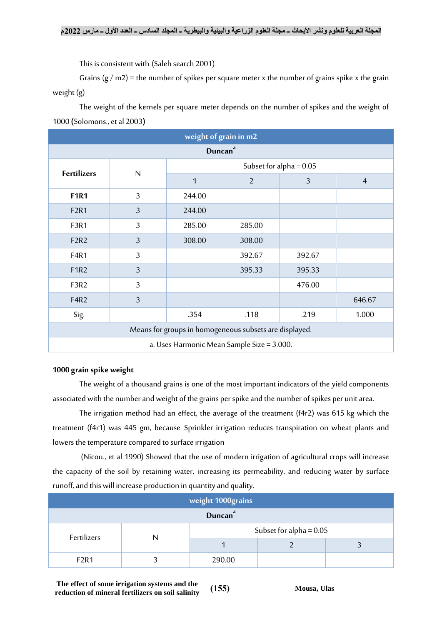This is consistent with (Saleh search 2001)

Grains  $(g / m2)$  = the number of spikes per square meter x the number of grains spike x the grain weight (g)

The weight of the kernels per square meter depends on the number of spikes and the weight of 1000 **(**Solomons., et al 2003**)**

| weight of grain in m2         |                         |                           |                                                        |        |                |  |  |  |
|-------------------------------|-------------------------|---------------------------|--------------------------------------------------------|--------|----------------|--|--|--|
| Duncan <sup>a</sup>           |                         |                           |                                                        |        |                |  |  |  |
| <b>Fertilizers</b>            | $\overline{\mathsf{N}}$ | Subset for alpha $= 0.05$ |                                                        |        |                |  |  |  |
|                               |                         | 1                         | $\overline{2}$                                         | 3      | $\overline{4}$ |  |  |  |
| <b>F1R1</b>                   | $\overline{3}$          | 244.00                    |                                                        |        |                |  |  |  |
| F <sub>2R1</sub>              | $\overline{3}$          | 244.00                    |                                                        |        |                |  |  |  |
| F3R1                          | 3                       | 285.00                    | 285.00                                                 |        |                |  |  |  |
| F <sub>2</sub> R <sub>2</sub> | $\overline{3}$          | 308.00                    | 308.00                                                 |        |                |  |  |  |
| <b>F4R1</b>                   | 3                       |                           | 392.67                                                 | 392.67 |                |  |  |  |
| <b>F1R2</b>                   | $\overline{3}$          |                           | 395.33                                                 | 395.33 |                |  |  |  |
| F3R2                          | 3                       |                           |                                                        | 476.00 |                |  |  |  |
| <b>F4R2</b>                   | $\overline{3}$          |                           |                                                        |        | 646.67         |  |  |  |
| Sig.                          |                         | .354                      | .118                                                   | .219   | 1.000          |  |  |  |
|                               |                         |                           | Means for groups in homogeneous subsets are displayed. |        |                |  |  |  |
|                               |                         |                           | a. Uses Harmonic Mean Sample Size = 3.000.             |        |                |  |  |  |

# **1000 grain spike weight**

The weight of a thousand grains is one of the most important indicators of the yield components associated with the number and weight of the grains per spike and the number of spikes per unit area.

The irrigation method had an effect, the average of the treatment (f4r2) was 615 kg which the treatment (f4r1) was 445 gm, because Sprinkler irrigation reduces transpiration on wheat plants and lowers the temperature compared to surface irrigation

(Nicou., et al 1990) Showed that the use of modern irrigation of agricultural crops will increase the capacity of the soil by retaining water, increasing its permeability, and reducing water by surface runoff, and this will increase production in quantity and quality.

| weight 1000grains   |   |                           |  |  |  |  |
|---------------------|---|---------------------------|--|--|--|--|
| Duncan <sup>ª</sup> |   |                           |  |  |  |  |
| Fertilizers         | N | Subset for alpha $= 0.05$ |  |  |  |  |
|                     |   |                           |  |  |  |  |
| F <sub>2R</sub> 1   |   | 290.00                    |  |  |  |  |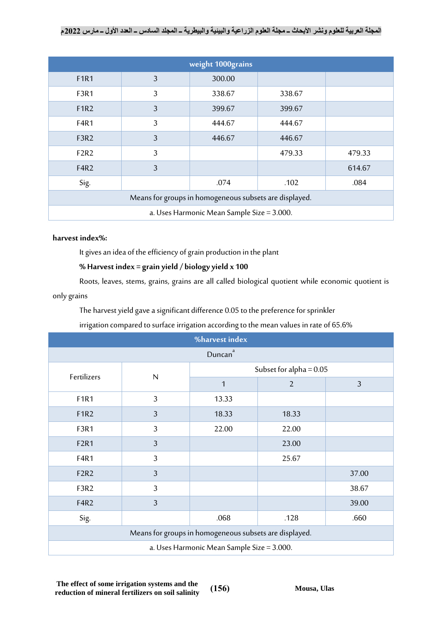# **المجلة العربية للعلوم ونشر األبحاث ــ مجلة العلوم الزراعية والبيئية والبيطرية ــ المجلد السادس ــ العدد األول ــ مارس 2022م**

|                                                        |   | weight 1000grains                          |        |        |  |  |  |
|--------------------------------------------------------|---|--------------------------------------------|--------|--------|--|--|--|
| <b>F1R1</b>                                            | 3 | 300.00                                     |        |        |  |  |  |
| F3R1                                                   | 3 | 338.67                                     | 338.67 |        |  |  |  |
| <b>F1R2</b>                                            | 3 | 399.67                                     | 399.67 |        |  |  |  |
| <b>F4R1</b>                                            | 3 | 444.67                                     | 444.67 |        |  |  |  |
| F3R2                                                   | 3 | 446.67                                     | 446.67 |        |  |  |  |
| F <sub>2</sub> R <sub>2</sub>                          | 3 |                                            | 479.33 | 479.33 |  |  |  |
| <b>F4R2</b>                                            | 3 |                                            |        | 614.67 |  |  |  |
| Sig.                                                   |   | .074                                       | .102   | .084   |  |  |  |
| Means for groups in homogeneous subsets are displayed. |   |                                            |        |        |  |  |  |
|                                                        |   | a. Uses Harmonic Mean Sample Size = 3.000. |        |        |  |  |  |

# **harvest index%:**

It gives an idea of the efficiency of grain production in the plant

# **% Harvest index = grain yield / biology yield x 100**

Roots, leaves, stems, grains, grains are all called biological quotient while economic quotient is only grains

The harvest yield gave a significant difference 0.05 to the preference for sprinkler

irrigation compared to surface irrigation according to the mean values in rate of 65.6%

| %harvest index                                         |              |                           |                |                |
|--------------------------------------------------------|--------------|---------------------------|----------------|----------------|
| Duncan <sup>a</sup>                                    |              |                           |                |                |
| Fertilizers                                            | $\mathsf{N}$ | Subset for alpha $= 0.05$ |                |                |
|                                                        |              | $\mathbf{1}$              | $\overline{2}$ | $\overline{3}$ |
| <b>F1R1</b>                                            | 3            | 13.33                     |                |                |
| <b>F1R2</b>                                            | 3            | 18.33                     | 18.33          |                |
| F3R1                                                   | 3            | 22.00                     | 22.00          |                |
| F <sub>2R1</sub>                                       | 3            |                           | 23.00          |                |
| F4R1                                                   | 3            |                           | 25.67          |                |
| F <sub>2R<sub>2</sub></sub>                            | 3            |                           |                | 37.00          |
| F3R2                                                   | 3            |                           |                | 38.67          |
| <b>F4R2</b>                                            | 3            |                           |                | 39.00          |
| Sig.                                                   |              | .068                      | .128           | .660           |
| Means for groups in homogeneous subsets are displayed. |              |                           |                |                |
| a. Uses Harmonic Mean Sample Size = 3.000.             |              |                           |                |                |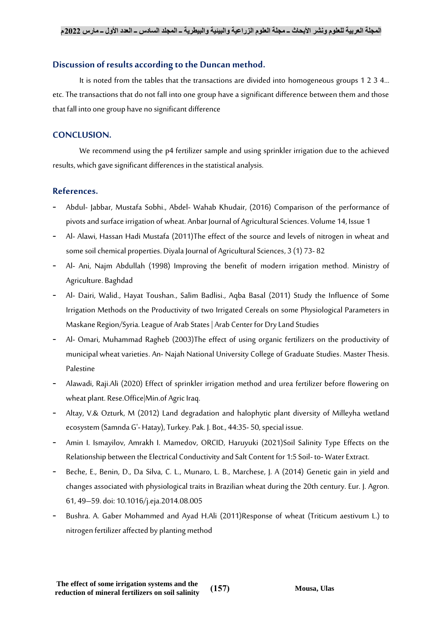#### **Discussion of results according to the Duncan method.**

It is noted from the tables that the transactions are divided into homogeneous groups 1 2 3 4... etc. The transactions that do not fall into one group have a significant difference between them and those that fall into one group have no significant difference

#### **CONCLUSION.**

We recommend using the p4 fertilizer sample and using sprinkler irrigation due to the achieved results, which gave significant differences in the statistical analysis.

# **References.**

- Abdul- Jabbar, Mustafa Sobhi., Abdel- Wahab Khudair, (2016) Comparison of the performance of pivots and surface irrigation of wheat. Anbar Journal of Agricultural Sciences. Volume 14, Issue 1
- Al- Alawi, Hassan Hadi Mustafa (2011)The effect of the source and levels of nitrogen in wheat and some soil chemical properties. Diyala Journal of Agricultural Sciences, 3 (1) 73- 82
- Al- Ani, Najm Abdullah (1998) Improving the benefit of modern irrigation method. Ministry of Agriculture. Baghdad
- Al- Dairi, Walid., Hayat Toushan., Salim Badlisi., Aqba Basal (2011) Study the Influence of Some Irrigation Methods on the Productivity of two Irrigated Cereals on some Physiological Parameters in Maskane Region/Syria. League of Arab States | Arab Center for Dry Land Studies
- Al- Omari, Muhammad Ragheb (2003)The effect of using organic fertilizers on the productivity of municipal wheat varieties. An- Najah National University College of Graduate Studies. Master Thesis. Palestine
- Alawadi, Raji.Ali (2020) Effect of sprinkler irrigation method and urea fertilizer before flowering on wheat plant. Rese.Office|Min.of Agric Iraq.
- Altay, V.& Ozturk, M (2012) Land degradation and halophytic plant diversity of Milleyha wetland ecosystem (Samnda G'- Hatay), Turkey. Pak. J. Bot., 44:35- 50, special issue.
- Amin I. Ismayilov, Amrakh I. Mamedov, ORCID, Haruyuki (2021)Soil Salinity Type Effects on the Relationship between the Electrical Conductivity and Salt Content for 1:5 Soil- to-Water Extract.
- Beche, E., Benin, D., Da Silva, C. L., Munaro, L. B., Marchese, J. A (2014) Genetic gain in yield and changes associated with physiological traits in Brazilian wheat during the 20th century. Eur. J. Agron. 61, 49–59. doi: 10.1016/j.eja.2014.08.005
- Bushra. A. Gaber Mohammed and Ayad H.Ali (2011)Response of wheat (Triticum aestivum L.) to nitrogen fertilizer affected by planting method